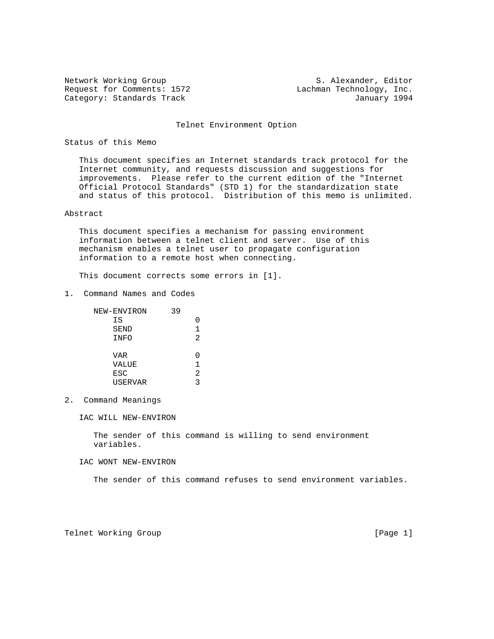Request for Comments: 1572 Lachman Technology, Inc. Category: Standards Track January 1994

Network Working Group S. Alexander, Editor

Telnet Environment Option

Status of this Memo

 This document specifies an Internet standards track protocol for the Internet community, and requests discussion and suggestions for improvements. Please refer to the current edition of the "Internet Official Protocol Standards" (STD 1) for the standardization state and status of this protocol. Distribution of this memo is unlimited.

Abstract

 This document specifies a mechanism for passing environment information between a telnet client and server. Use of this mechanism enables a telnet user to propagate configuration information to a remote host when connecting.

This document corrects some errors in [1].

1. Command Names and Codes

| NEW-ENVIRON | 39 |                |
|-------------|----|----------------|
| ΙS          |    |                |
| SEND        |    |                |
| INFO        |    | 2              |
|             |    |                |
| <b>VAR</b>  |    |                |
| VALUE       |    | 1              |
| <b>ESC</b>  |    | $\overline{2}$ |
| USERVAR     |    | ζ              |

2. Command Meanings

IAC WILL NEW-ENVIRON

 The sender of this command is willing to send environment variables.

IAC WONT NEW-ENVIRON

The sender of this command refuses to send environment variables.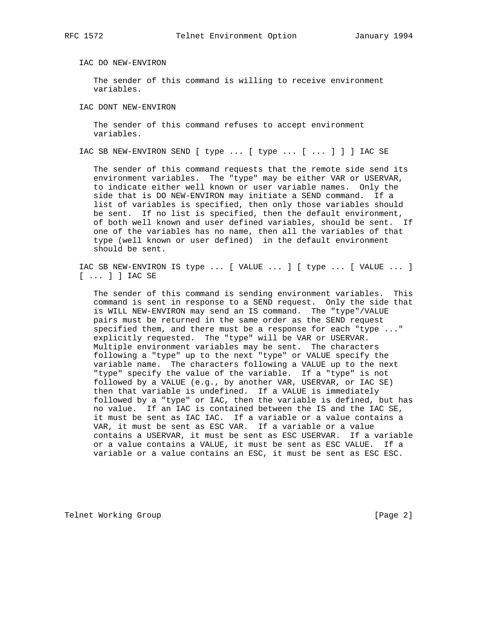IAC DO NEW-ENVIRON

 The sender of this command is willing to receive environment variables.

IAC DONT NEW-ENVIRON

 The sender of this command refuses to accept environment variables.

IAC SB NEW-ENVIRON SEND [ type ... [ type ... [ ... ] ] ] IAC SE

 The sender of this command requests that the remote side send its environment variables. The "type" may be either VAR or USERVAR, to indicate either well known or user variable names. Only the side that is DO NEW-ENVIRON may initiate a SEND command. If a list of variables is specified, then only those variables should be sent. If no list is specified, then the default environment, of both well known and user defined variables, should be sent. If one of the variables has no name, then all the variables of that type (well known or user defined) in the default environment should be sent.

 IAC SB NEW-ENVIRON IS type ... [ VALUE ... ] [ type ... [ VALUE ... ] [ ... ] ] IAC SE

 The sender of this command is sending environment variables. This command is sent in response to a SEND request. Only the side that is WILL NEW-ENVIRON may send an IS command. The "type"/VALUE pairs must be returned in the same order as the SEND request specified them, and there must be a response for each "type ..." explicitly requested. The "type" will be VAR or USERVAR. Multiple environment variables may be sent. The characters following a "type" up to the next "type" or VALUE specify the variable name. The characters following a VALUE up to the next "type" specify the value of the variable. If a "type" is not followed by a VALUE (e.g., by another VAR, USERVAR, or IAC SE) then that variable is undefined. If a VALUE is immediately followed by a "type" or IAC, then the variable is defined, but has no value. If an IAC is contained between the IS and the IAC SE, it must be sent as IAC IAC. If a variable or a value contains a VAR, it must be sent as ESC VAR. If a variable or a value contains a USERVAR, it must be sent as ESC USERVAR. If a variable or a value contains a VALUE, it must be sent as ESC VALUE. If a variable or a value contains an ESC, it must be sent as ESC ESC.

Telnet Working Group **by the Contract Contract Contract Contract Contract Contract Contract Contract Contract Contract Contract Contract Contract Contract Contract Contract Contract Contract Contract Contract Contract Cont**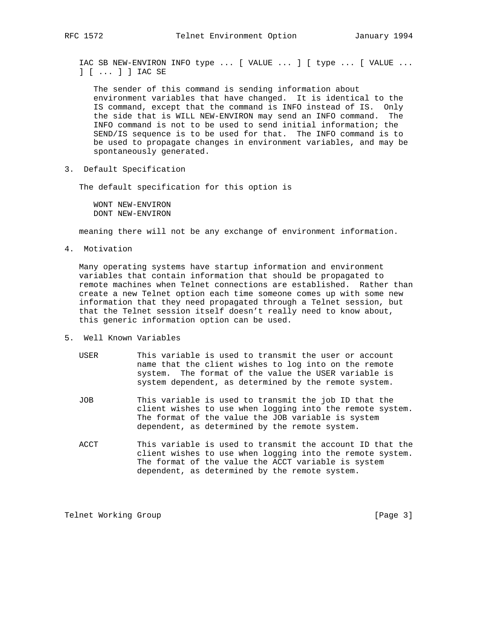IAC SB NEW-ENVIRON INFO type ... [ VALUE ... ] [ type ... [ VALUE ... ] [ ... ] ] IAC SE

 The sender of this command is sending information about environment variables that have changed. It is identical to the IS command, except that the command is INFO instead of IS. Only the side that is WILL NEW-ENVIRON may send an INFO command. The INFO command is not to be used to send initial information; the SEND/IS sequence is to be used for that. The INFO command is to be used to propagate changes in environment variables, and may be spontaneously generated.

3. Default Specification

The default specification for this option is

 WONT NEW-ENVIRON DONT NEW-ENVIRON

meaning there will not be any exchange of environment information.

4. Motivation

 Many operating systems have startup information and environment variables that contain information that should be propagated to remote machines when Telnet connections are established. Rather than create a new Telnet option each time someone comes up with some new information that they need propagated through a Telnet session, but that the Telnet session itself doesn't really need to know about, this generic information option can be used.

- 5. Well Known Variables
	- USER This variable is used to transmit the user or account name that the client wishes to log into on the remote system. The format of the value the USER variable is system dependent, as determined by the remote system.
	- JOB This variable is used to transmit the job ID that the client wishes to use when logging into the remote system. The format of the value the JOB variable is system dependent, as determined by the remote system.
	- ACCT This variable is used to transmit the account ID that the client wishes to use when logging into the remote system. The format of the value the ACCT variable is system dependent, as determined by the remote system.

Telnet Working Group **by the Contract Contract Contract Contract Contract Contract Contract Contract Contract Contract Contract Contract Contract Contract Contract Contract Contract Contract Contract Contract Contract Cont**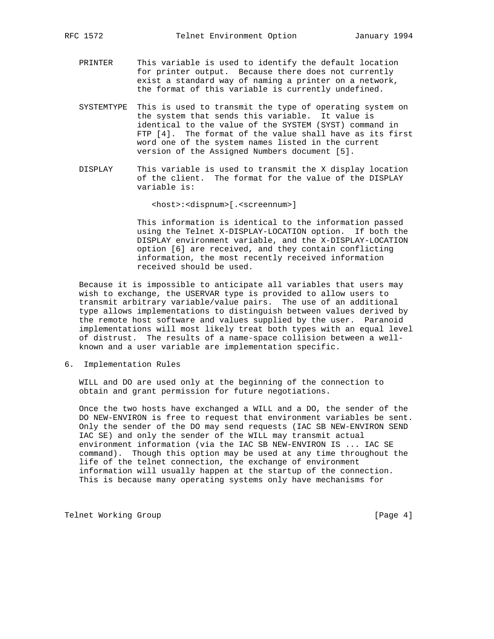- PRINTER This variable is used to identify the default location for printer output. Because there does not currently exist a standard way of naming a printer on a network, the format of this variable is currently undefined.
- SYSTEMTYPE This is used to transmit the type of operating system on the system that sends this variable. It value is identical to the value of the SYSTEM (SYST) command in FTP [4]. The format of the value shall have as its first word one of the system names listed in the current version of the Assigned Numbers document [5].
- DISPLAY This variable is used to transmit the X display location of the client. The format for the value of the DISPLAY variable is:

<host>:<dispnum>[.<screennum>]

 This information is identical to the information passed using the Telnet X-DISPLAY-LOCATION option. If both the DISPLAY environment variable, and the X-DISPLAY-LOCATION option [6] are received, and they contain conflicting information, the most recently received information received should be used.

 Because it is impossible to anticipate all variables that users may wish to exchange, the USERVAR type is provided to allow users to transmit arbitrary variable/value pairs. The use of an additional type allows implementations to distinguish between values derived by the remote host software and values supplied by the user. Paranoid implementations will most likely treat both types with an equal level of distrust. The results of a name-space collision between a well known and a user variable are implementation specific.

6. Implementation Rules

 WILL and DO are used only at the beginning of the connection to obtain and grant permission for future negotiations.

 Once the two hosts have exchanged a WILL and a DO, the sender of the DO NEW-ENVIRON is free to request that environment variables be sent. Only the sender of the DO may send requests (IAC SB NEW-ENVIRON SEND IAC SE) and only the sender of the WILL may transmit actual environment information (via the IAC SB NEW-ENVIRON IS ... IAC SE command). Though this option may be used at any time throughout the life of the telnet connection, the exchange of environment information will usually happen at the startup of the connection. This is because many operating systems only have mechanisms for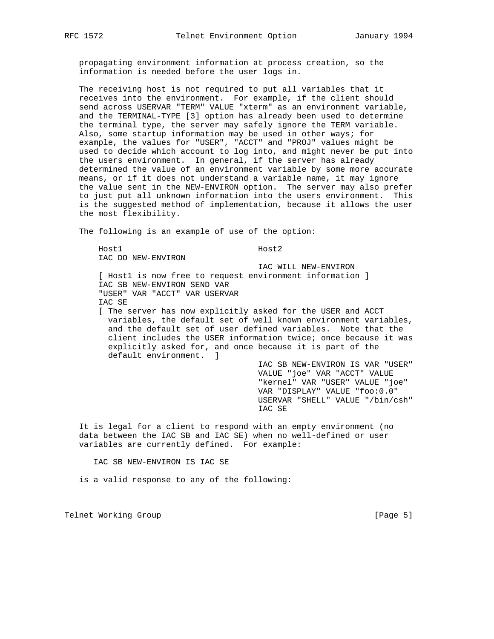propagating environment information at process creation, so the information is needed before the user logs in.

 The receiving host is not required to put all variables that it receives into the environment. For example, if the client should send across USERVAR "TERM" VALUE "xterm" as an environment variable, and the TERMINAL-TYPE [3] option has already been used to determine the terminal type, the server may safely ignore the TERM variable. Also, some startup information may be used in other ways; for example, the values for "USER", "ACCT" and "PROJ" values might be used to decide which account to log into, and might never be put into the users environment. In general, if the server has already determined the value of an environment variable by some more accurate means, or if it does not understand a variable name, it may ignore the value sent in the NEW-ENVIRON option. The server may also prefer to just put all unknown information into the users environment. This is the suggested method of implementation, because it allows the user the most flexibility.

The following is an example of use of the option:

Host1 Host2 IAC DO NEW-ENVIRON IAC WILL NEW-ENVIRON [ Host1 is now free to request environment information ] IAC SB NEW-ENVIRON SEND VAR "USER" VAR "ACCT" VAR USERVAR IAC SE [ The server has now explicitly asked for the USER and ACCT variables, the default set of well known environment variables, and the default set of user defined variables. Note that the client includes the USER information twice; once because it was explicitly asked for, and once because it is part of the default environment. ] IAC SB NEW-ENVIRON IS VAR "USER" VALUE "joe" VAR "ACCT" VALUE "kernel" VAR "USER" VALUE "joe" VAR "DISPLAY" VALUE "foo:0.0" USERVAR "SHELL" VALUE "/bin/csh" IAC SE It is legal for a client to respond with an empty environment (no data between the IAC SB and IAC SE) when no well-defined or user variables are currently defined. For example:

IAC SB NEW-ENVIRON IS IAC SE

is a valid response to any of the following: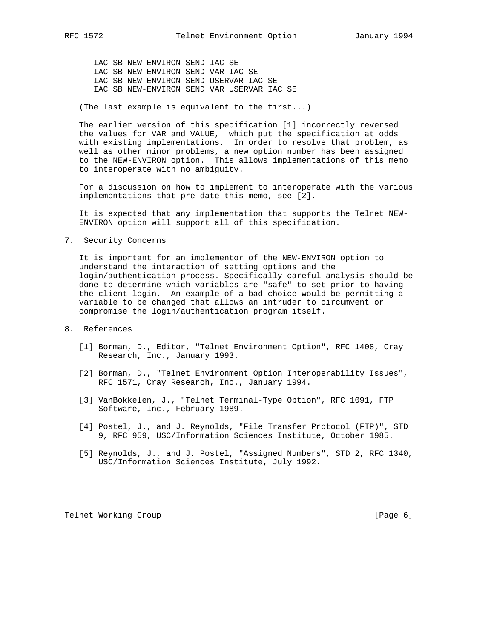IAC SB NEW-ENVIRON SEND IAC SE IAC SB NEW-ENVIRON SEND VAR IAC SE IAC SB NEW-ENVIRON SEND USERVAR IAC SE IAC SB NEW-ENVIRON SEND VAR USERVAR IAC SE

(The last example is equivalent to the first...)

 The earlier version of this specification [1] incorrectly reversed the values for VAR and VALUE, which put the specification at odds with existing implementations. In order to resolve that problem, as well as other minor problems, a new option number has been assigned to the NEW-ENVIRON option. This allows implementations of this memo to interoperate with no ambiguity.

 For a discussion on how to implement to interoperate with the various implementations that pre-date this memo, see [2].

 It is expected that any implementation that supports the Telnet NEW- ENVIRON option will support all of this specification.

7. Security Concerns

 It is important for an implementor of the NEW-ENVIRON option to understand the interaction of setting options and the login/authentication process. Specifically careful analysis should be done to determine which variables are "safe" to set prior to having the client login. An example of a bad choice would be permitting a variable to be changed that allows an intruder to circumvent or compromise the login/authentication program itself.

- 8. References
	- [1] Borman, D., Editor, "Telnet Environment Option", RFC 1408, Cray Research, Inc., January 1993.
	- [2] Borman, D., "Telnet Environment Option Interoperability Issues", RFC 1571, Cray Research, Inc., January 1994.
	- [3] VanBokkelen, J., "Telnet Terminal-Type Option", RFC 1091, FTP Software, Inc., February 1989.
	- [4] Postel, J., and J. Reynolds, "File Transfer Protocol (FTP)", STD 9, RFC 959, USC/Information Sciences Institute, October 1985.
	- [5] Reynolds, J., and J. Postel, "Assigned Numbers", STD 2, RFC 1340, USC/Information Sciences Institute, July 1992.